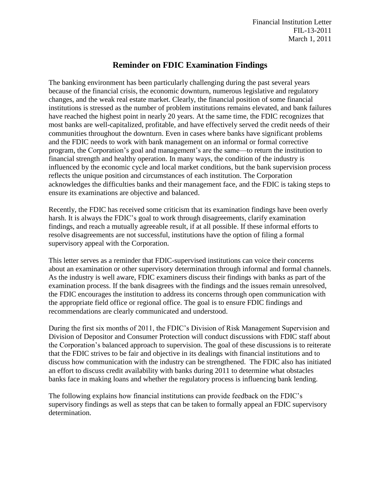Financial Institution Letter FIL-13-2011 March 1, 2011

# **Reminder on FDIC Examination Findings**

The banking environment has been particularly challenging during the past several years because of the financial crisis, the economic downturn, numerous legislative and regulatory changes, and the weak real estate market. Clearly, the financial position of some financial institutions is stressed as the number of problem institutions remains elevated, and bank failures have reached the highest point in nearly 20 years. At the same time, the FDIC recognizes that most banks are well-capitalized, profitable, and have effectively served the credit needs of their communities throughout the downturn. Even in cases where banks have significant problems and the FDIC needs to work with bank management on an informal or formal corrective program, the Corporation's goal and management's are the same—to return the institution to financial strength and healthy operation. In many ways, the condition of the industry is influenced by the economic cycle and local market conditions, but the bank supervision process reflects the unique position and circumstances of each institution. The Corporation acknowledges the difficulties banks and their management face, and the FDIC is taking steps to ensure its examinations are objective and balanced.

Recently, the FDIC has received some criticism that its examination findings have been overly harsh. It is always the FDIC's goal to work through disagreements, clarify examination findings, and reach a mutually agreeable result, if at all possible. If these informal efforts to resolve disagreements are not successful, institutions have the option of filing a formal supervisory appeal with the Corporation.

This letter serves as a reminder that FDIC-supervised institutions can voice their concerns about an examination or other supervisory determination through informal and formal channels. As the industry is well aware, FDIC examiners discuss their findings with banks as part of the examination process. If the bank disagrees with the findings and the issues remain unresolved, the FDIC encourages the institution to address its concerns through open communication with the appropriate field office or regional office. The goal is to ensure FDIC findings and recommendations are clearly communicated and understood.

During the first six months of 2011, the FDIC's Division of Risk Management Supervision and Division of Depositor and Consumer Protection will conduct discussions with FDIC staff about the Corporation's balanced approach to supervision. The goal of these discussions is to reiterate that the FDIC strives to be fair and objective in its dealings with financial institutions and to discuss how communication with the industry can be strengthened. The FDIC also has initiated an effort to discuss credit availability with banks during 2011 to determine what obstacles banks face in making loans and whether the regulatory process is influencing bank lending.

The following explains how financial institutions can provide feedback on the FDIC's supervisory findings as well as steps that can be taken to formally appeal an FDIC supervisory determination.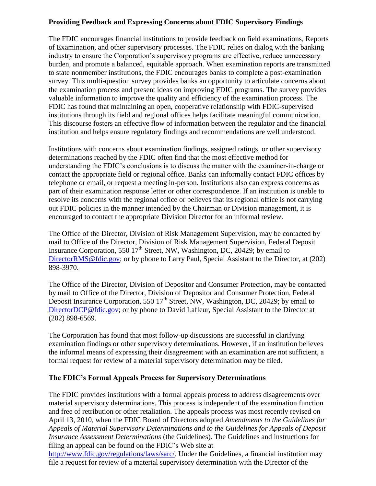### **Providing Feedback and Expressing Concerns about FDIC Supervisory Findings**

The FDIC encourages financial institutions to provide feedback on field examinations, Reports of Examination, and other supervisory processes. The FDIC relies on dialog with the banking industry to ensure the Corporation's supervisory programs are effective, reduce unnecessary burden, and promote a balanced, equitable approach. When examination reports are transmitted to state nonmember institutions, the FDIC encourages banks to complete a post-examination survey. This multi-question survey provides banks an opportunity to articulate concerns about the examination process and present ideas on improving FDIC programs. The survey provides valuable information to improve the quality and efficiency of the examination process. The FDIC has found that maintaining an open, cooperative relationship with FDIC-supervised institutions through its field and regional offices helps facilitate meaningful communication. This discourse fosters an effective flow of information between the regulator and the financial institution and helps ensure regulatory findings and recommendations are well understood.

Institutions with concerns about examination findings, assigned ratings, or other supervisory determinations reached by the FDIC often find that the most effective method for understanding the FDIC's conclusions is to discuss the matter with the examiner-in-charge or contact the appropriate field or regional office. Banks can informally contact FDIC offices by telephone or email, or request a meeting in-person. Institutions also can express concerns as part of their examination response letter or other correspondence. If an institution is unable to resolve its concerns with the regional office or believes that its regional office is not carrying out FDIC policies in the manner intended by the Chairman or Division management, it is encouraged to contact the appropriate Division Director for an informal review.

The Office of the Director, Division of Risk Management Supervision, may be contacted by mail to Office of the Director, Division of Risk Management Supervision, Federal Deposit Insurance Corporation, 550  $17<sup>th</sup>$  Street, NW, Washington, DC, 20429; by email to [DirectorRMS@fdic.gov;](mailto:DirectorRMS@fdic.gov) or by phone to Larry Paul, Special Assistant to the Director, at (202) 898-3970.

The Office of the Director, Division of Depositor and Consumer Protection, may be contacted by mail to Office of the Director, Division of Depositor and Consumer Protection, Federal Deposit Insurance Corporation, 550  $17<sup>th</sup>$  Street, NW, Washington, DC, 20429; by email to [DirectorDCP@fdic.gov;](mailto:DirectorDCP@fdic.gov) or by phone to David Lafleur, Special Assistant to the Director at (202) 898-6569.

The Corporation has found that most follow-up discussions are successful in clarifying examination findings or other supervisory determinations. However, if an institution believes the informal means of expressing their disagreement with an examination are not sufficient, a formal request for review of a material supervisory determination may be filed.

#### **The FDIC's Formal Appeals Process for Supervisory Determinations**

The FDIC provides institutions with a formal appeals process to address disagreements over material supervisory determinations. This process is independent of the examination function and free of retribution or other retaliation. The appeals process was most recently revised on April 13, 2010, when the FDIC Board of Directors adopted *Amendments to the Guidelines for Appeals of Material Supervisory Determinations and to the Guidelines for Appeals of Deposit Insurance Assessment Determinations* (the Guidelines). The Guidelines and instructions for filing an appeal can be found on the FDIC's Web site at

[http://www.fdic.gov/regulations/laws/sarc/.](http://www.fdic.gov/regulations/laws/sarc/) Under the Guidelines, a financial institution may file a request for review of a material supervisory determination with the Director of the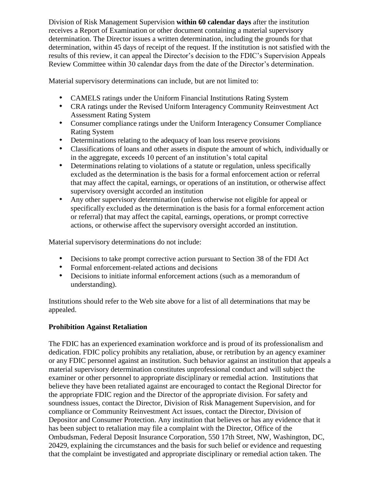Division of Risk Management Supervision **within 60 calendar days** after the institution receives a Report of Examination or other document containing a material supervisory determination. The Director issues a written determination, including the grounds for that determination, within 45 days of receipt of the request. If the institution is not satisfied with the results of this review, it can appeal the Director's decision to the FDIC's Supervision Appeals Review Committee within 30 calendar days from the date of the Director's determination.

Material supervisory determinations can include, but are not limited to:

- CAMELS ratings under the Uniform Financial Institutions Rating System
- CRA ratings under the Revised Uniform Interagency Community Reinvestment Act Assessment Rating System
- Consumer compliance ratings under the Uniform Interagency Consumer Compliance Rating System
- Determinations relating to the adequacy of loan loss reserve provisions  $\bullet$
- Classifications of loans and other assets in dispute the amount of which, individually or in the aggregate, exceeds 10 percent of an institution's total capital
- $\bullet$ Determinations relating to violations of a statute or regulation, unless specifically excluded as the determination is the basis for a formal enforcement action or referral that may affect the capital, earnings, or operations of an institution, or otherwise affect supervisory oversight accorded an institution
- Any other supervisory determination (unless otherwise not eligible for appeal or specifically excluded as the determination is the basis for a formal enforcement action or referral) that may affect the capital, earnings, operations, or prompt corrective actions, or otherwise affect the supervisory oversight accorded an institution.

Material supervisory determinations do not include:

- Decisions to take prompt corrective action pursuant to Section 38 of the FDI Act
- Formal enforcement-related actions and decisions
- Decisions to initiate informal enforcement actions (such as a memorandum of understanding).

Institutions should refer to the Web site above for a list of all determinations that may be appealed.

# **Prohibition Against Retaliation**

The FDIC has an experienced examination workforce and is proud of its professionalism and dedication. FDIC policy prohibits any retaliation, abuse, or retribution by an agency examiner or any FDIC personnel against an institution. Such behavior against an institution that appeals a material supervisory determination constitutes unprofessional conduct and will subject the examiner or other personnel to appropriate disciplinary or remedial action. Institutions that believe they have been retaliated against are encouraged to contact the Regional Director for the appropriate FDIC region and the Director of the appropriate division. For safety and soundness issues, contact the Director, Division of Risk Management Supervision, and for compliance or Community Reinvestment Act issues, contact the Director, Division of Depositor and Consumer Protection. Any institution that believes or has any evidence that it has been subject to retaliation may file a complaint with the Director, Office of the Ombudsman, Federal Deposit Insurance Corporation, 550 17th Street, NW, Washington, DC, 20429, explaining the circumstances and the basis for such belief or evidence and requesting that the complaint be investigated and appropriate disciplinary or remedial action taken. The